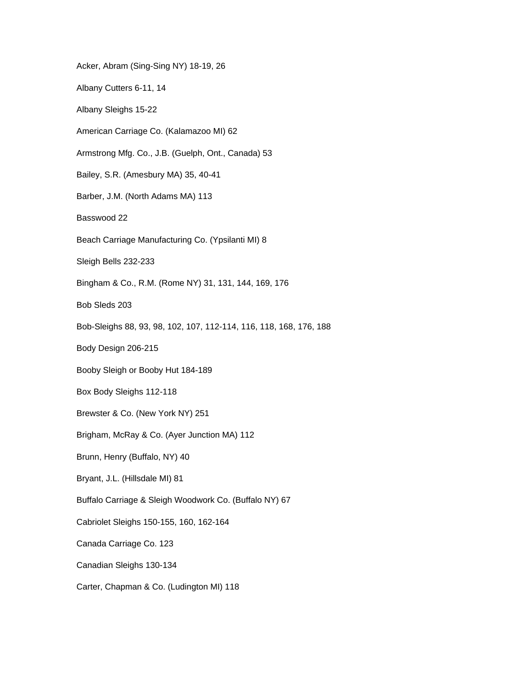Acker, Abram (Sing-Sing NY) 18-19, 26 Albany Cutters 6-11, 14 Albany Sleighs 15-22 American Carriage Co. (Kalamazoo MI) 62 Armstrong Mfg. Co., J.B. (Guelph, Ont., Canada) 53 Bailey, S.R. (Amesbury MA) 35, 40-41 Barber, J.M. (North Adams MA) 113 Basswood 22 Beach Carriage Manufacturing Co. (Ypsilanti MI) 8 Sleigh Bells 232-233 Bingham & Co., R.M. (Rome NY) 31, 131, 144, 169, 176 Bob Sleds 203 Bob-Sleighs 88, 93, 98, 102, 107, 112-114, 116, 118, 168, 176, 188 Body Design 206-215 Booby Sleigh or Booby Hut 184-189 Box Body Sleighs 112-118 Brewster & Co. (New York NY) 251 Brigham, McRay & Co. (Ayer Junction MA) 112 Brunn, Henry (Buffalo, NY) 40 Bryant, J.L. (Hillsdale MI) 81 Buffalo Carriage & Sleigh Woodwork Co. (Buffalo NY) 67 Cabriolet Sleighs 150-155, 160, 162-164 Canada Carriage Co. 123 Canadian Sleighs 130-134 Carter, Chapman & Co. (Ludington MI) 118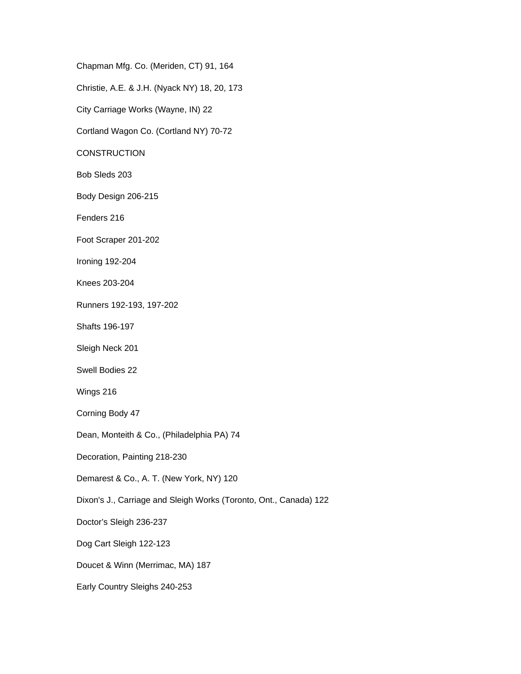Chapman Mfg. Co. (Meriden, CT) 91, 164

Christie, A.E. & J.H. (Nyack NY) 18, 20, 173

City Carriage Works (Wayne, IN) 22

Cortland Wagon Co. (Cortland NY) 70-72

**CONSTRUCTION** 

Bob Sleds 203

Body Design 206-215

Fenders 216

Foot Scraper 201-202

Ironing 192-204

Knees 203-204

Runners 192-193, 197-202

Shafts 196-197

Sleigh Neck 201

Swell Bodies 22

Wings 216

Corning Body 47

Dean, Monteith & Co., (Philadelphia PA) 74

Decoration, Painting 218-230

Demarest & Co., A. T. (New York, NY) 120

Dixon's J., Carriage and Sleigh Works (Toronto, Ont., Canada) 122

Doctor's Sleigh 236-237

Dog Cart Sleigh 122-123

Doucet & Winn (Merrimac, MA) 187

Early Country Sleighs 240-253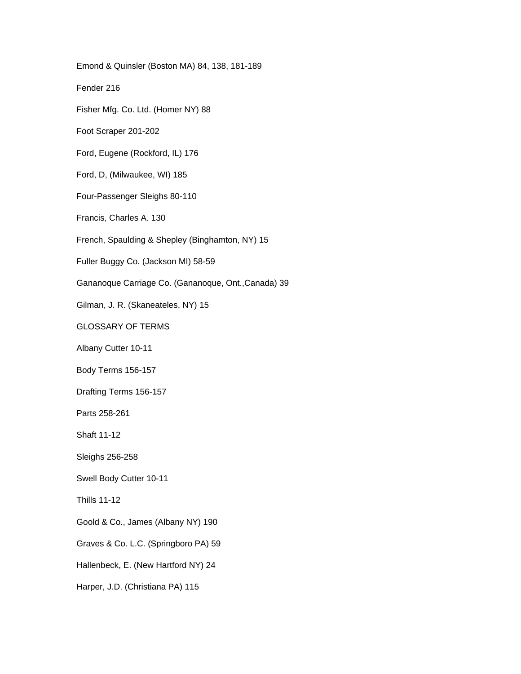Emond & Quinsler (Boston MA) 84, 138, 181-189 Fender 216 Fisher Mfg. Co. Ltd. (Homer NY) 88 Foot Scraper 201-202 Ford, Eugene (Rockford, IL) 176 Ford, D, (Milwaukee, WI) 185 Four-Passenger Sleighs 80-110 Francis, Charles A. 130 French, Spaulding & Shepley (Binghamton, NY) 15 Fuller Buggy Co. (Jackson MI) 58-59 Gananoque Carriage Co. (Gananoque, Ont.,Canada) 39 Gilman, J. R. (Skaneateles, NY) 15 GLOSSARY OF TERMS Albany Cutter 10-11 Body Terms 156-157 Drafting Terms 156-157 Parts 258-261 Shaft 11-12 Sleighs 256-258 Swell Body Cutter 10-11 Thills 11-12 Goold & Co., James (Albany NY) 190 Graves & Co. L.C. (Springboro PA) 59 Hallenbeck, E. (New Hartford NY) 24 Harper, J.D. (Christiana PA) 115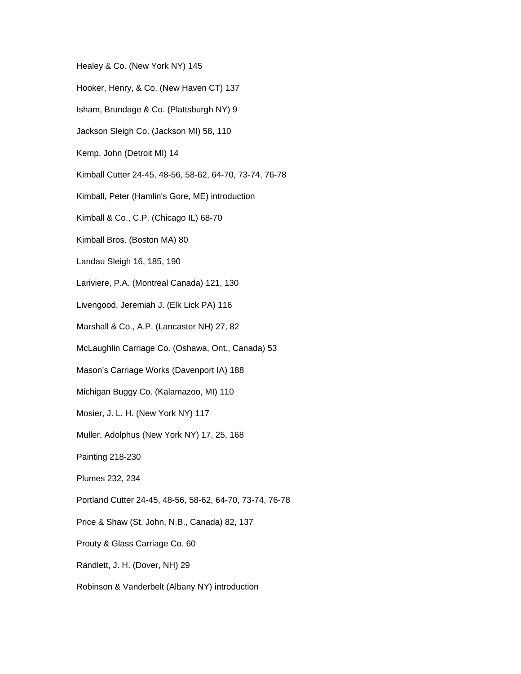Healey & Co. (New York NY) 145

- Hooker, Henry, & Co. (New Haven CT) 137
- Isham, Brundage & Co. (Plattsburgh NY) 9
- Jackson Sleigh Co. (Jackson MI) 58, 110
- Kemp, John (Detroit MI) 14
- Kimball Cutter 24-45, 48-56, 58-62, 64-70, 73-74, 76-78
- Kimball, Peter (Hamlin's Gore, ME) introduction
- Kimball & Co., C.P. (Chicago IL) 68-70
- Kimball Bros. (Boston MA) 80
- Landau Sleigh 16, 185, 190
- Lariviere, P.A. (Montreal Canada) 121, 130
- Livengood, Jeremiah J. (Elk Lick PA) 116
- Marshall & Co., A.P. (Lancaster NH) 27, 82
- McLaughlin Carriage Co. (Oshawa, Ont., Canada) 53
- Mason's Carriage Works (Davenport IA) 188
- Michigan Buggy Co. (Kalamazoo, MI) 110
- Mosier, J. L. H. (New York NY) 117
- Muller, Adolphus (New York NY) 17, 25, 168
- Painting 218-230
- Plumes 232, 234
- Portland Cutter 24-45, 48-56, 58-62, 64-70, 73-74, 76-78
- Price & Shaw (St. John, N.B., Canada) 82, 137
- Prouty & Glass Carriage Co. 60
- Randlett, J. H. (Dover, NH) 29
- Robinson & Vanderbelt (Albany NY) introduction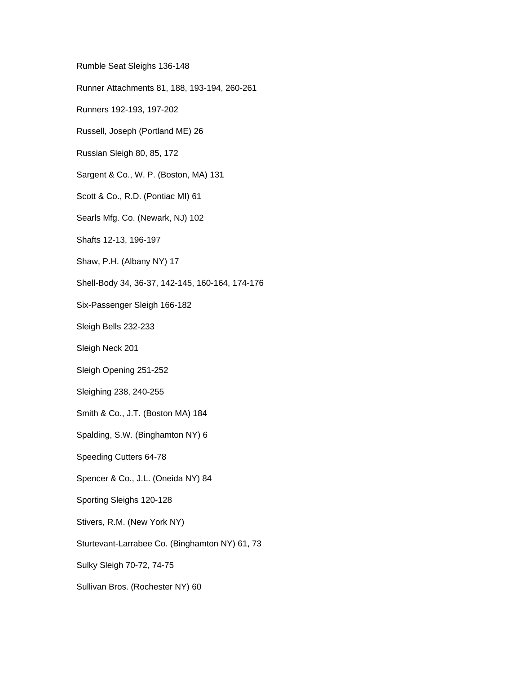Rumble Seat Sleighs 136-148

Runner Attachments 81, 188, 193-194, 260-261

Runners 192-193, 197-202

Russell, Joseph (Portland ME) 26

Russian Sleigh 80, 85, 172

Sargent & Co., W. P. (Boston, MA) 131

Scott & Co., R.D. (Pontiac MI) 61

Searls Mfg. Co. (Newark, NJ) 102

Shafts 12-13, 196-197

Shaw, P.H. (Albany NY) 17

Shell-Body 34, 36-37, 142-145, 160-164, 174-176

Six-Passenger Sleigh 166-182

Sleigh Bells 232-233

Sleigh Neck 201

Sleigh Opening 251-252

Sleighing 238, 240-255

Smith & Co., J.T. (Boston MA) 184

Spalding, S.W. (Binghamton NY) 6

Speeding Cutters 64-78

Spencer & Co., J.L. (Oneida NY) 84

Sporting Sleighs 120-128

Stivers, R.M. (New York NY)

Sturtevant-Larrabee Co. (Binghamton NY) 61, 73

Sulky Sleigh 70-72, 74-75

Sullivan Bros. (Rochester NY) 60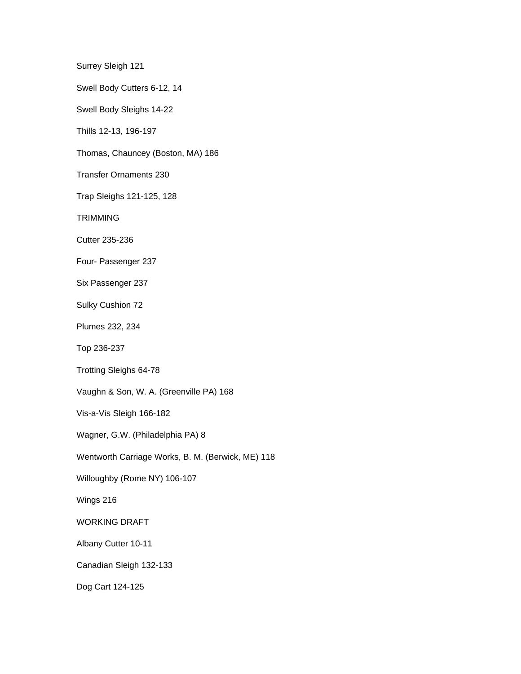Surrey Sleigh 121

Swell Body Cutters 6-12, 14

Swell Body Sleighs 14-22

Thills 12-13, 196-197

Thomas, Chauncey (Boston, MA) 186

Transfer Ornaments 230

Trap Sleighs 121-125, 128

**TRIMMING** 

Cutter 235-236

Four- Passenger 237

Six Passenger 237

Sulky Cushion 72

Plumes 232, 234

Top 236-237

Trotting Sleighs 64-78

Vaughn & Son, W. A. (Greenville PA) 168

Vis-a-Vis Sleigh 166-182

Wagner, G.W. (Philadelphia PA) 8

Wentworth Carriage Works, B. M. (Berwick, ME) 118

Willoughby (Rome NY) 106-107

Wings 216

WORKING DRAFT

Albany Cutter 10-11

Canadian Sleigh 132-133

Dog Cart 124-125